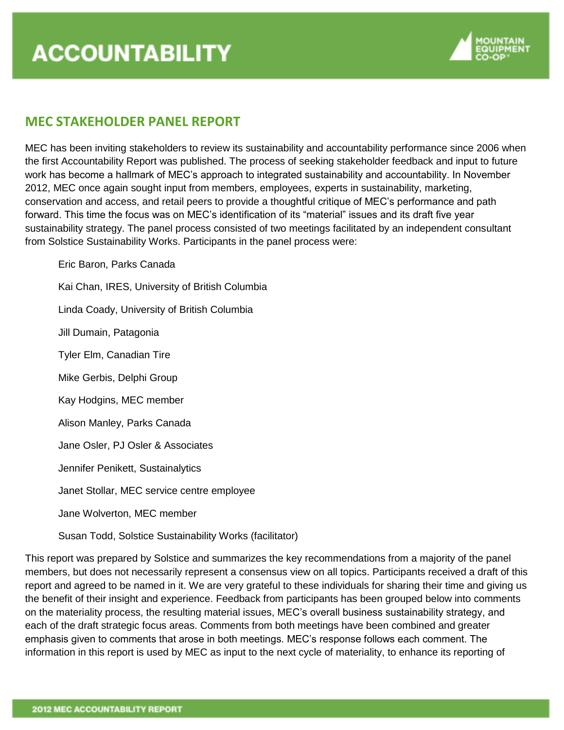

# **MEC STAKEHOLDER PANEL REPORT**

MEC has been inviting stakeholders to review its sustainability and accountability performance since 2006 when the first Accountability Report was published. The process of seeking stakeholder feedback and input to future work has become a hallmark of MEC's approach to integrated sustainability and accountability. In November 2012, MEC once again sought input from members, employees, experts in sustainability, marketing, conservation and access, and retail peers to provide a thoughtful critique of MEC's performance and path forward. This time the focus was on MEC's identification of its "material" issues and its draft five year sustainability strategy. The panel process consisted of two meetings facilitated by an independent consultant from Solstice Sustainability Works. Participants in the panel process were:

Eric Baron, Parks Canada Kai Chan, IRES, University of British Columbia Linda Coady, University of British Columbia Jill Dumain, Patagonia Tyler Elm, Canadian Tire Mike Gerbis, Delphi Group Kay Hodgins, MEC member Alison Manley, Parks Canada Jane Osler, PJ Osler & Associates Jennifer Penikett, Sustainalytics Janet Stollar, MEC service centre employee Jane Wolverton, MEC member

Susan Todd, Solstice Sustainability Works (facilitator)

This report was prepared by Solstice and summarizes the key recommendations from a majority of the panel members, but does not necessarily represent a consensus view on all topics. Participants received a draft of this report and agreed to be named in it. We are very grateful to these individuals for sharing their time and giving us the benefit of their insight and experience. Feedback from participants has been grouped below into comments on the materiality process, the resulting material issues, MEC's overall business sustainability strategy, and each of the draft strategic focus areas. Comments from both meetings have been combined and greater emphasis given to comments that arose in both meetings. MEC's response follows each comment. The information in this report is used by MEC as input to the next cycle of materiality, to enhance its reporting of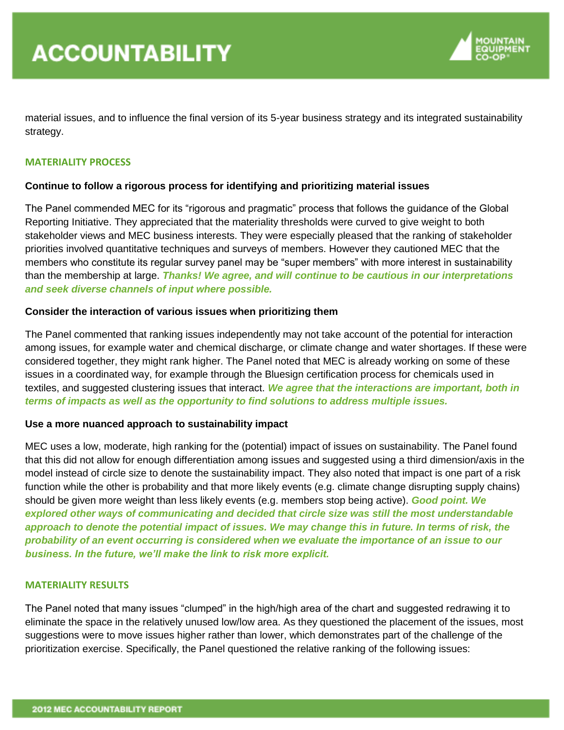

material issues, and to influence the final version of its 5-year business strategy and its integrated sustainability strategy.

## **MATERIALITY PROCESS**

## **Continue to follow a rigorous process for identifying and prioritizing material issues**

The Panel commended MEC for its "rigorous and pragmatic" process that follows the guidance of the Global Reporting Initiative. They appreciated that the materiality thresholds were curved to give weight to both stakeholder views and MEC business interests. They were especially pleased that the ranking of stakeholder priorities involved quantitative techniques and surveys of members. However they cautioned MEC that the members who constitute its regular survey panel may be "super members" with more interest in sustainability than the membership at large. *Thanks! We agree, and will continue to be cautious in our interpretations and seek diverse channels of input where possible.*

## **Consider the interaction of various issues when prioritizing them**

The Panel commented that ranking issues independently may not take account of the potential for interaction among issues, for example water and chemical discharge, or climate change and water shortages. If these were considered together, they might rank higher. The Panel noted that MEC is already working on some of these issues in a coordinated way, for example through the Bluesign certification process for chemicals used in textiles, and suggested clustering issues that interact. *We agree that the interactions are important, both in terms of impacts as well as the opportunity to find solutions to address multiple issues.* 

#### **Use a more nuanced approach to sustainability impact**

MEC uses a low, moderate, high ranking for the (potential) impact of issues on sustainability. The Panel found that this did not allow for enough differentiation among issues and suggested using a third dimension/axis in the model instead of circle size to denote the sustainability impact. They also noted that impact is one part of a risk function while the other is probability and that more likely events (e.g. climate change disrupting supply chains) should be given more weight than less likely events (e.g. members stop being active). *Good point. We explored other ways of communicating and decided that circle size was still the most understandable approach to denote the potential impact of issues. We may change this in future. In terms of risk, the probability of an event occurring is considered when we evaluate the importance of an issue to our business. In the future, we'll make the link to risk more explicit.* 

#### **MATERIALITY RESULTS**

The Panel noted that many issues "clumped" in the high/high area of the chart and suggested redrawing it to eliminate the space in the relatively unused low/low area. As they questioned the placement of the issues, most suggestions were to move issues higher rather than lower, which demonstrates part of the challenge of the prioritization exercise. Specifically, the Panel questioned the relative ranking of the following issues: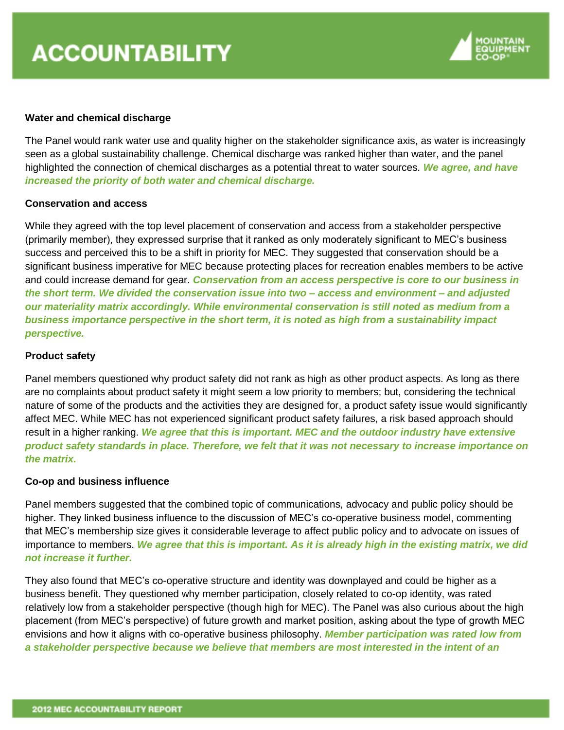

## **Water and chemical discharge**

The Panel would rank water use and quality higher on the stakeholder significance axis, as water is increasingly seen as a global sustainability challenge. Chemical discharge was ranked higher than water, and the panel highlighted the connection of chemical discharges as a potential threat to water sources. *We agree, and have increased the priority of both water and chemical discharge.* 

# **Conservation and access**

While they agreed with the top level placement of conservation and access from a stakeholder perspective (primarily member), they expressed surprise that it ranked as only moderately significant to MEC's business success and perceived this to be a shift in priority for MEC. They suggested that conservation should be a significant business imperative for MEC because protecting places for recreation enables members to be active and could increase demand for gear. *Conservation from an access perspective is core to our business in the short term. We divided the conservation issue into two – access and environment – and adjusted our materiality matrix accordingly. While environmental conservation is still noted as medium from a business importance perspective in the short term, it is noted as high from a sustainability impact perspective.*

## **Product safety**

Panel members questioned why product safety did not rank as high as other product aspects. As long as there are no complaints about product safety it might seem a low priority to members; but, considering the technical nature of some of the products and the activities they are designed for, a product safety issue would significantly affect MEC. While MEC has not experienced significant product safety failures, a risk based approach should result in a higher ranking. *We agree that this is important. MEC and the outdoor industry have extensive product safety standards in place. Therefore, we felt that it was not necessary to increase importance on the matrix.*

#### **Co-op and business influence**

Panel members suggested that the combined topic of communications, advocacy and public policy should be higher. They linked business influence to the discussion of MEC's co-operative business model, commenting that MEC's membership size gives it considerable leverage to affect public policy and to advocate on issues of importance to members. *We agree that this is important. As it is already high in the existing matrix, we did not increase it further.*

They also found that MEC's co-operative structure and identity was downplayed and could be higher as a business benefit. They questioned why member participation, closely related to co-op identity, was rated relatively low from a stakeholder perspective (though high for MEC). The Panel was also curious about the high placement (from MEC's perspective) of future growth and market position, asking about the type of growth MEC envisions and how it aligns with co-operative business philosophy. *Member participation was rated low from a stakeholder perspective because we believe that members are most interested in the intent of an*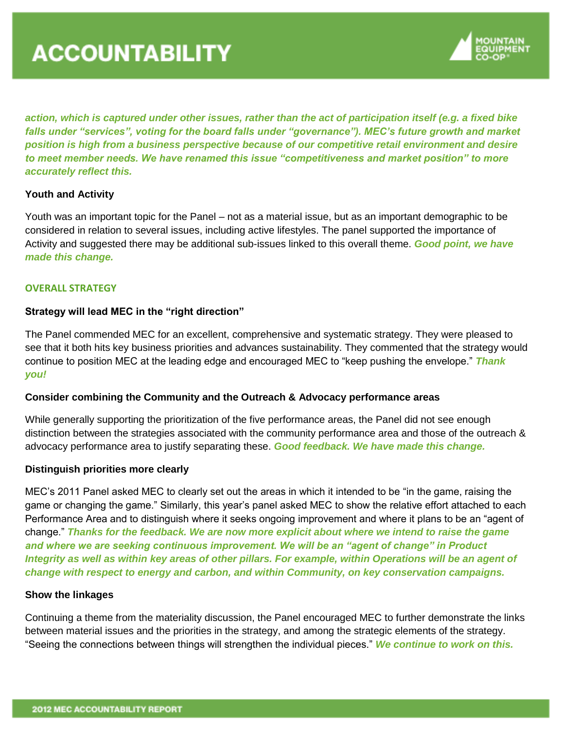

*action, which is captured under other issues, rather than the act of participation itself (e.g. a fixed bike falls under "services", voting for the board falls under "governance"). MEC's future growth and market position is high from a business perspective because of our competitive retail environment and desire to meet member needs. We have renamed this issue "competitiveness and market position" to more accurately reflect this.*

# **Youth and Activity**

Youth was an important topic for the Panel – not as a material issue, but as an important demographic to be considered in relation to several issues, including active lifestyles. The panel supported the importance of Activity and suggested there may be additional sub-issues linked to this overall theme. *Good point, we have made this change.*

## **OVERALL STRATEGY**

# **Strategy will lead MEC in the "right direction"**

The Panel commended MEC for an excellent, comprehensive and systematic strategy. They were pleased to see that it both hits key business priorities and advances sustainability. They commented that the strategy would continue to position MEC at the leading edge and encouraged MEC to "keep pushing the envelope." *Thank you!*

#### **Consider combining the Community and the Outreach & Advocacy performance areas**

While generally supporting the prioritization of the five performance areas, the Panel did not see enough distinction between the strategies associated with the community performance area and those of the outreach & advocacy performance area to justify separating these. *Good feedback. We have made this change.*

#### **Distinguish priorities more clearly**

MEC's 2011 Panel asked MEC to clearly set out the areas in which it intended to be "in the game, raising the game or changing the game." Similarly, this year's panel asked MEC to show the relative effort attached to each Performance Area and to distinguish where it seeks ongoing improvement and where it plans to be an "agent of change." *Thanks for the feedback. We are now more explicit about where we intend to raise the game and where we are seeking continuous improvement. We will be an "agent of change" in Product Integrity as well as within key areas of other pillars. For example, within Operations will be an agent of change with respect to energy and carbon, and within Community, on key conservation campaigns.* 

## **Show the linkages**

Continuing a theme from the materiality discussion, the Panel encouraged MEC to further demonstrate the links between material issues and the priorities in the strategy, and among the strategic elements of the strategy. "Seeing the connections between things will strengthen the individual pieces." *We continue to work on this.*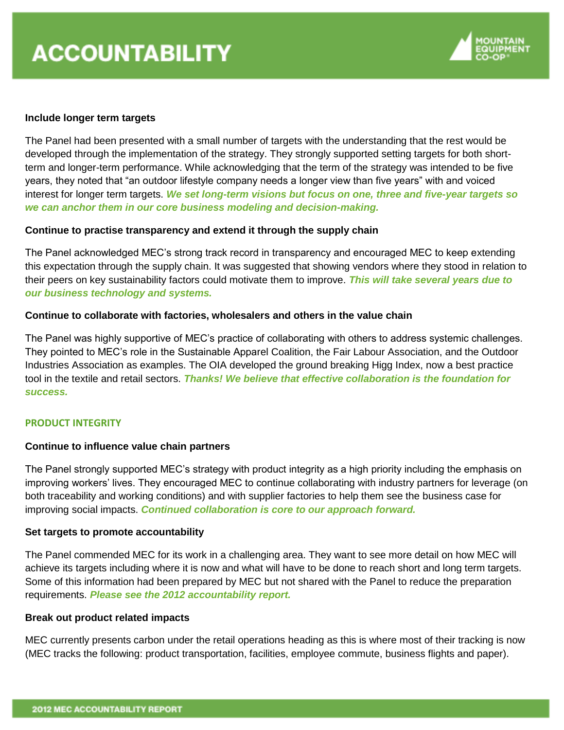

## **Include longer term targets**

The Panel had been presented with a small number of targets with the understanding that the rest would be developed through the implementation of the strategy. They strongly supported setting targets for both shortterm and longer-term performance. While acknowledging that the term of the strategy was intended to be five years, they noted that "an outdoor lifestyle company needs a longer view than five years" with and voiced interest for longer term targets. *We set long-term visions but focus on one, three and five-year targets so we can anchor them in our core business modeling and decision-making.*

## **Continue to practise transparency and extend it through the supply chain**

The Panel acknowledged MEC's strong track record in transparency and encouraged MEC to keep extending this expectation through the supply chain. It was suggested that showing vendors where they stood in relation to their peers on key sustainability factors could motivate them to improve. *This will take several years due to our business technology and systems.*

## **Continue to collaborate with factories, wholesalers and others in the value chain**

The Panel was highly supportive of MEC's practice of collaborating with others to address systemic challenges. They pointed to MEC's role in the Sustainable Apparel Coalition, the Fair Labour Association, and the Outdoor Industries Association as examples. The OIA developed the ground breaking Higg Index, now a best practice tool in the textile and retail sectors. *Thanks! We believe that effective collaboration is the foundation for success.*

# **PRODUCT INTEGRITY**

#### **Continue to influence value chain partners**

The Panel strongly supported MEC's strategy with product integrity as a high priority including the emphasis on improving workers' lives. They encouraged MEC to continue collaborating with industry partners for leverage (on both traceability and working conditions) and with supplier factories to help them see the business case for improving social impacts. *Continued collaboration is core to our approach forward.*

## **Set targets to promote accountability**

The Panel commended MEC for its work in a challenging area. They want to see more detail on how MEC will achieve its targets including where it is now and what will have to be done to reach short and long term targets. Some of this information had been prepared by MEC but not shared with the Panel to reduce the preparation requirements. *Please see the 2012 accountability report.*

#### **Break out product related impacts**

MEC currently presents carbon under the retail operations heading as this is where most of their tracking is now (MEC tracks the following: product transportation, facilities, employee commute, business flights and paper).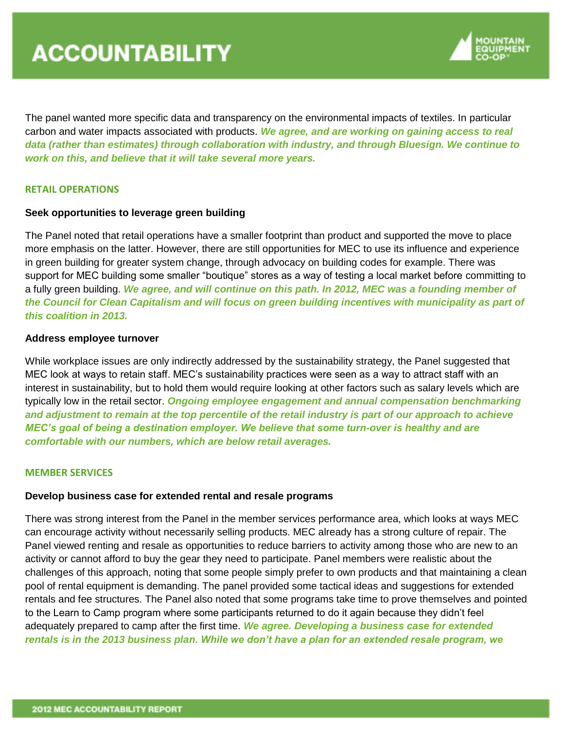

The panel wanted more specific data and transparency on the environmental impacts of textiles. In particular carbon and water impacts associated with products. *We agree, and are working on gaining access to real data (rather than estimates) through collaboration with industry, and through Bluesign. We continue to work on this, and believe that it will take several more years.*

# **RETAIL OPERATIONS**

## **Seek opportunities to leverage green building**

The Panel noted that retail operations have a smaller footprint than product and supported the move to place more emphasis on the latter. However, there are still opportunities for MEC to use its influence and experience in green building for greater system change, through advocacy on building codes for example. There was support for MEC building some smaller "boutique" stores as a way of testing a local market before committing to a fully green building. *We agree, and will continue on this path. In 2012, MEC was a founding member of the Council for Clean Capitalism and will focus on green building incentives with municipality as part of this coalition in 2013.*

#### **Address employee turnover**

While workplace issues are only indirectly addressed by the sustainability strategy, the Panel suggested that MEC look at ways to retain staff. MEC's sustainability practices were seen as a way to attract staff with an interest in sustainability, but to hold them would require looking at other factors such as salary levels which are typically low in the retail sector. *Ongoing employee engagement and annual compensation benchmarking and adjustment to remain at the top percentile of the retail industry is part of our approach to achieve MEC's goal of being a destination employer. We believe that some turn-over is healthy and are comfortable with our numbers, which are below retail averages.*

#### **MEMBER SERVICES**

#### **Develop business case for extended rental and resale programs**

There was strong interest from the Panel in the member services performance area, which looks at ways MEC can encourage activity without necessarily selling products. MEC already has a strong culture of repair. The Panel viewed renting and resale as opportunities to reduce barriers to activity among those who are new to an activity or cannot afford to buy the gear they need to participate. Panel members were realistic about the challenges of this approach, noting that some people simply prefer to own products and that maintaining a clean pool of rental equipment is demanding. The panel provided some tactical ideas and suggestions for extended rentals and fee structures. The Panel also noted that some programs take time to prove themselves and pointed to the Learn to Camp program where some participants returned to do it again because they didn't feel adequately prepared to camp after the first time. *We agree. Developing a business case for extended rentals is in the 2013 business plan. While we don't have a plan for an extended resale program, we*